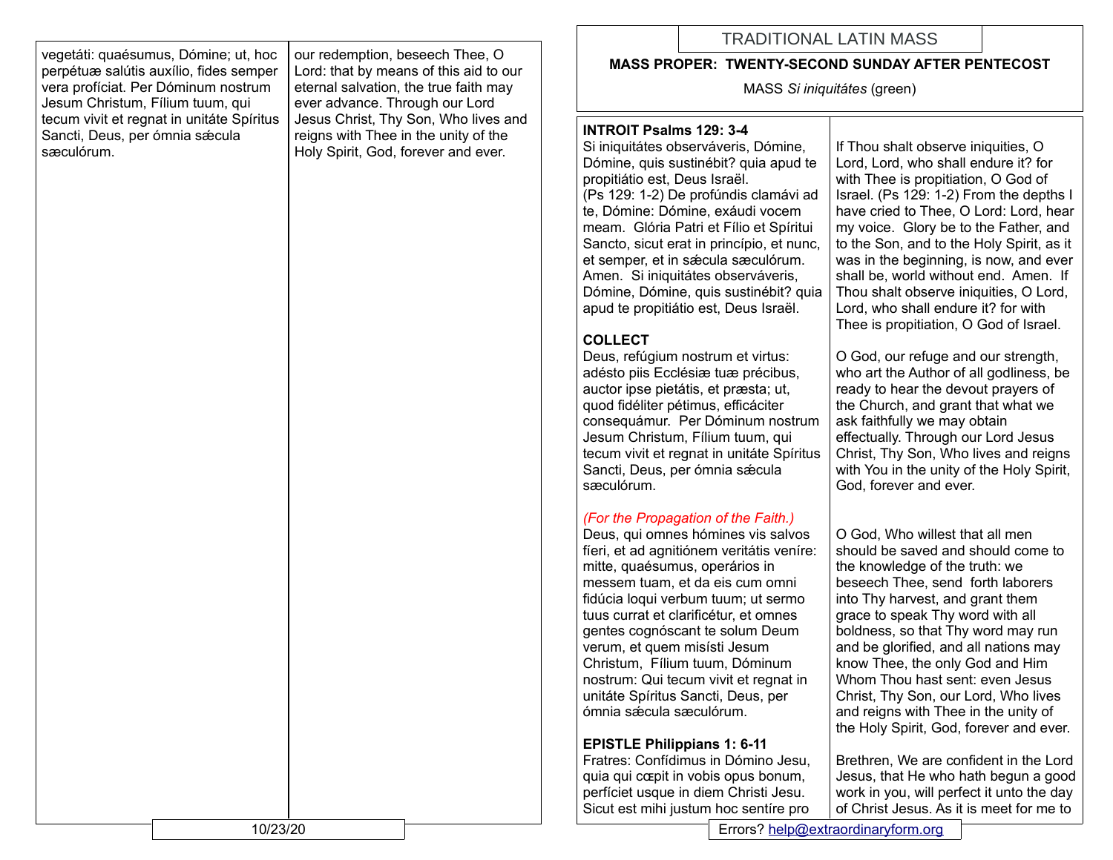|                                                                                                                                                                                                                                                        |                                                                                                                                                                                                                                                                             |                                                                                                                                                                                                                                                                                                                                                                                                                                                                                                                                                                                                                                                                                                                                                                                                    |                                                                                                                                                                                                                                                                                                                                                                                                                                                                                                                                                                                                 | <b>TRADITIONAL LATIN MASS</b>                                                                                                                                                                                                                                                                                                                                                                                                                                                                                                                                                                                                                                                                                                                                                                                                                                     |  |
|--------------------------------------------------------------------------------------------------------------------------------------------------------------------------------------------------------------------------------------------------------|-----------------------------------------------------------------------------------------------------------------------------------------------------------------------------------------------------------------------------------------------------------------------------|----------------------------------------------------------------------------------------------------------------------------------------------------------------------------------------------------------------------------------------------------------------------------------------------------------------------------------------------------------------------------------------------------------------------------------------------------------------------------------------------------------------------------------------------------------------------------------------------------------------------------------------------------------------------------------------------------------------------------------------------------------------------------------------------------|-------------------------------------------------------------------------------------------------------------------------------------------------------------------------------------------------------------------------------------------------------------------------------------------------------------------------------------------------------------------------------------------------------------------------------------------------------------------------------------------------------------------------------------------------------------------------------------------------|-------------------------------------------------------------------------------------------------------------------------------------------------------------------------------------------------------------------------------------------------------------------------------------------------------------------------------------------------------------------------------------------------------------------------------------------------------------------------------------------------------------------------------------------------------------------------------------------------------------------------------------------------------------------------------------------------------------------------------------------------------------------------------------------------------------------------------------------------------------------|--|
| vegetáti: quaésumus, Dómine; ut, hoc<br>perpétuæ salútis auxílio, fides semper<br>vera profíciat. Per Dóminum nostrum<br>Jesum Christum, Fílium tuum, qui<br>tecum vivit et regnat in unitate Spíritus<br>Sancti, Deus, per ómnia sæcula<br>sæculórum. | our redemption, beseech Thee, O<br>Lord: that by means of this aid to our<br>eternal salvation, the true faith may<br>ever advance. Through our Lord<br>Jesus Christ, Thy Son, Who lives and<br>reigns with Thee in the unity of the<br>Holy Spirit, God, forever and ever. | <b>MASS PROPER: TWENTY-SECOND SUNDAY AFTER PENTECOST</b><br>MASS Si iniquitátes (green)                                                                                                                                                                                                                                                                                                                                                                                                                                                                                                                                                                                                                                                                                                            |                                                                                                                                                                                                                                                                                                                                                                                                                                                                                                                                                                                                 |                                                                                                                                                                                                                                                                                                                                                                                                                                                                                                                                                                                                                                                                                                                                                                                                                                                                   |  |
|                                                                                                                                                                                                                                                        |                                                                                                                                                                                                                                                                             | Si iniquitátes observáveris, Dómine,<br>Dómine, quis sustinébit? quia apud te<br>propitiátio est, Deus Israël.<br>(Ps 129: 1-2) De profúndis clamávi ad<br>te, Dómine: Dómine, exáudi vocem<br>meam. Glória Patri et Fílio et Spíritui<br>Sancto, sicut erat in princípio, et nunc,<br>et semper, et in sæcula sæculórum.<br>Amen. Si iniquitátes observáveris,<br>Dómine, Dómine, quis sustinébit? quia<br>apud te propitiátio est, Deus Israël.<br><b>COLLECT</b><br>Deus, refúgium nostrum et virtus:<br>adésto piis Ecclésiæ tuæ précibus,<br>auctor ipse pietátis, et præsta; ut,<br>quod fidéliter pétimus, efficáciter<br>consequámur. Per Dóminum nostrum<br>Jesum Christum, Fílium tuum, qui<br>tecum vivit et regnat in unitáte Spíritus<br>Sancti, Deus, per ómnia sæcula<br>sæculórum. |                                                                                                                                                                                                                                                                                                                                                                                                                                                                                                                                                                                                 | If Thou shalt observe iniquities, O<br>Lord, Lord, who shall endure it? for<br>with Thee is propitiation, O God of<br>Israel. (Ps 129: 1-2) From the depths I<br>have cried to Thee, O Lord: Lord, hear<br>my voice. Glory be to the Father, and<br>to the Son, and to the Holy Spirit, as it<br>was in the beginning, is now, and ever<br>shall be, world without end. Amen. If<br>Thou shalt observe iniquities, O Lord,<br>Lord, who shall endure it? for with<br>Thee is propitiation, O God of Israel.<br>O God, our refuge and our strength,<br>who art the Author of all godliness, be<br>ready to hear the devout prayers of<br>the Church, and grant that what we<br>ask faithfully we may obtain<br>effectually. Through our Lord Jesus<br>Christ, Thy Son, Who lives and reigns<br>with You in the unity of the Holy Spirit,<br>God, forever and ever. |  |
|                                                                                                                                                                                                                                                        |                                                                                                                                                                                                                                                                             | verum, et quem misísti Jesum<br>ómnia sæcula sæculórum.<br><b>EPISTLE Philippians 1: 6-11</b>                                                                                                                                                                                                                                                                                                                                                                                                                                                                                                                                                                                                                                                                                                      | (For the Propagation of the Faith.)<br>Deus, qui omnes hómines vis salvos<br>fíeri, et ad agnitiónem veritátis veníre:<br>mitte, quaésumus, operários in<br>messem tuam, et da eis cum omni<br>fidúcia loqui verbum tuum; ut sermo<br>tuus currat et clarificétur, et omnes<br>gentes cognóscant te solum Deum<br>Christum, Fílium tuum, Dóminum<br>nostrum: Qui tecum vivit et regnat in<br>unitáte Spíritus Sancti, Deus, per<br>Fratres: Confídimus in Dómino Jesu,<br>quia qui cœpit in vobis opus bonum,<br>perfíciet usque in diem Christi Jesu.<br>Sicut est mihi justum hoc sentíre pro | O God, Who willest that all men<br>should be saved and should come to<br>the knowledge of the truth: we<br>beseech Thee, send forth laborers<br>into Thy harvest, and grant them<br>grace to speak Thy word with all<br>boldness, so that Thy word may run<br>and be glorified, and all nations may<br>know Thee, the only God and Him<br>Whom Thou hast sent: even Jesus<br>Christ, Thy Son, our Lord, Who lives<br>and reigns with Thee in the unity of<br>the Holy Spirit, God, forever and ever.<br>Brethren, We are confident in the Lord<br>Jesus, that He who hath begun a good<br>work in you, will perfect it unto the day<br>of Christ Jesus. As it is meet for me to                                                                                                                                                                                   |  |